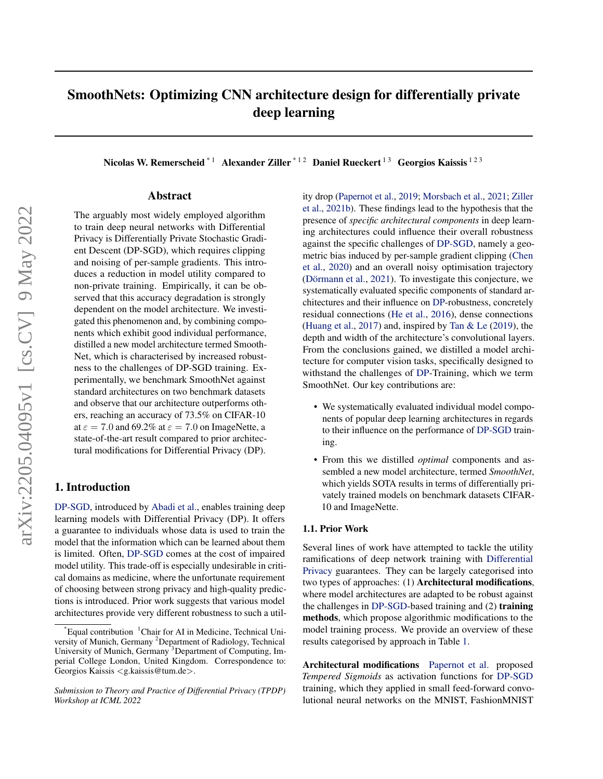# <span id="page-0-1"></span>SmoothNets: Optimizing CNN architecture design for differentially private deep learning

Nicolas W. Remerscheid<sup>\* 1</sup> Alexander Ziller<sup>\* 12</sup> Daniel Rueckert<sup>13</sup> Georgios Kaissis <sup>123</sup>

# Abstract

The arguably most widely employed algorithm to train deep neural networks with Differential Privacy is Differentially Private Stochastic Gradient Descent (DP-SGD), which requires clipping and noising of per-sample gradients. This introduces a reduction in model utility compared to non-private training. Empirically, it can be observed that this accuracy degradation is strongly dependent on the model architecture. We investigated this phenomenon and, by combining components which exhibit good individual performance, distilled a new model architecture termed Smooth-Net, which is characterised by increased robustness to the challenges of DP-SGD training. Experimentally, we benchmark SmoothNet against standard architectures on two benchmark datasets and observe that our architecture outperforms others, reaching an accuracy of 73.5% on CIFAR-10 at  $\varepsilon = 7.0$  and 69.2% at  $\varepsilon = 7.0$  on ImageNette, a state-of-the-art result compared to prior architectural modifications for Differential Privacy (DP).

# 1. Introduction

DP-SGD, introduced by [Abadi et al.,](#page-4-0) enables training deep learning models with Differential Privacy (DP). It offers a guarantee to individuals whose data is used to train the model that the information which can be learned about them is limited. Often, DP-SGD comes at the cost of impaired model utility. This trade-off is especially undesirable in critical domains as medicine, where the unfortunate requirement of choosing between strong privacy and high-quality predictions is introduced. Prior work suggests that various model architectures provide very different robustness to such a utility drop [\(Papernot et al.,](#page-4-1) [2019;](#page-4-1) [Morsbach et al.,](#page-4-2) [2021;](#page-4-2) [Ziller](#page-5-0) [et al.,](#page-5-0) [2021b\)](#page-5-0). These findings lead to the hypothesis that the presence of *specific architectural components* in deep learning architectures could influence their overall robustness against the specific challenges of DP-SGD, namely a geometric bias induced by per-sample gradient clipping [\(Chen](#page-4-3) [et al.,](#page-4-3) [2020\)](#page-4-3) and an overall noisy optimisation trajectory (Dörmann et al.,  $2021$ ). To investigate this conjecture, we systematically evaluated specific components of standard architectures and their influence on DP-robustness, concretely residual connections [\(He et al.,](#page-4-5) [2016\)](#page-4-5), dense connections [\(Huang et al.,](#page-4-6) [2017\)](#page-4-6) and, inspired by Tan  $& \& \text{Le } (2019)$  $& \& \text{Le } (2019)$ , the depth and width of the architecture's convolutional layers. From the conclusions gained, we distilled a model architecture for computer vision tasks, specifically designed to withstand the challenges of DP-Training, which we term SmoothNet. Our key contributions are:

- We systematically evaluated individual model components of popular deep learning architectures in regards to their influence on the performance of DP-SGD training.
- From this we distilled *optimal* components and assembled a new model architecture, termed *SmoothNet*, which yields SOTA results in terms of differentially privately trained models on benchmark datasets CIFAR-10 and ImageNette.

#### <span id="page-0-0"></span>1.1. Prior Work

Several lines of work have attempted to tackle the utility ramifications of deep network training with Differential Privacy guarantees. They can be largely categorised into two types of approaches: (1) Architectural modifications, where model architectures are adapted to be robust against the challenges in DP-SGD-based training and (2) training methods, which propose algorithmic modifications to the model training process. We provide an overview of these results categorised by approach in Table [1.](#page-1-0)

Architectural modifications [Papernot et al.](#page-4-8) proposed *Tempered Sigmoids* as activation functions for DP-SGD training, which they applied in small feed-forward convolutional neural networks on the MNIST, FashionMNIST

 $^{\text{th}}$  Equal contribution  $^{\text{th}}$ Chair for AI in Medicine, Technical University of Munich, Germany <sup>2</sup>Department of Radiology, Technical University of Munich, Germany <sup>3</sup>Department of Computing, Imperial College London, United Kingdom. Correspondence to: Georgios Kaissis <g.kaissis@tum.de>.

*Submission to Theory and Practice of Differential Privacy (TPDP) Workshop at ICML 2022*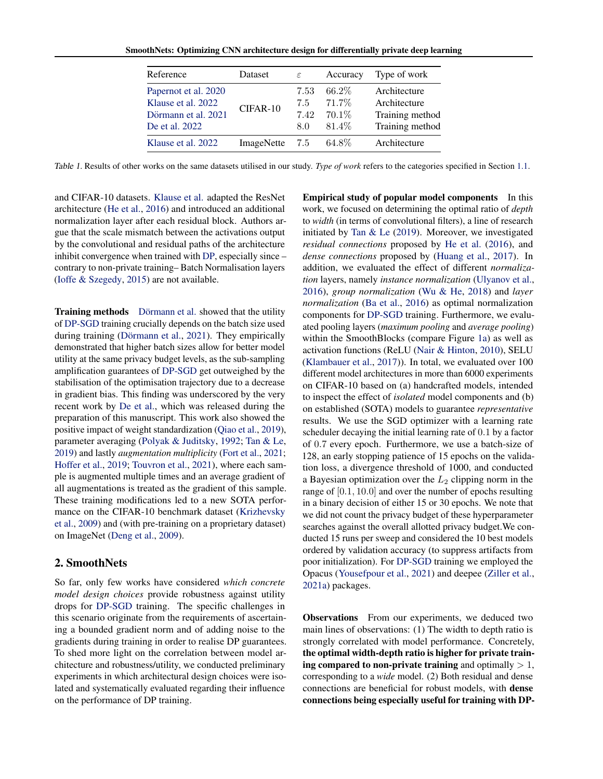<span id="page-1-0"></span>SmoothNets: Optimizing CNN architecture design for differentially private deep learning

| Reference                                                                           | Dataset        | $\varepsilon$              | Accuracy                             | Type of work                                                       |
|-------------------------------------------------------------------------------------|----------------|----------------------------|--------------------------------------|--------------------------------------------------------------------|
| Papernot et al. 2020<br>Klause et al. 2022<br>Dörmann et al. 2021<br>De et al. 2022 | CIFAR-10       | 7.53<br>7.5<br>7.42<br>8.0 | 66.2%<br>71.7%<br>$70.1\%$<br>81.4\% | Architecture<br>Architecture<br>Training method<br>Training method |
| Klause et al. 2022                                                                  | ImageNette 7.5 |                            | 64.8%                                | Architecture                                                       |

Table 1. Results of other works on the same datasets utilised in our study. *Type of work* refers to the categories specified in Section [1.1.](#page-0-0)

and CIFAR-10 datasets. [Klause et al.](#page-4-9) adapted the ResNet architecture [\(He et al.,](#page-4-5) [2016\)](#page-4-5) and introduced an additional normalization layer after each residual block. Authors argue that the scale mismatch between the activations output by the convolutional and residual paths of the architecture inhibit convergence when trained with [DP,](#page-0-1) especially since – contrary to non-private training– Batch Normalisation layers [\(Ioffe & Szegedy,](#page-4-11) [2015\)](#page-4-11) are not available.

Training methods Dörmann et al. showed that the utility of [DP-SGD](#page-0-1) training crucially depends on the batch size used during training (Dörmann et al., [2021\)](#page-4-4). They empirically demonstrated that higher batch sizes allow for better model utility at the same privacy budget levels, as the sub-sampling amplification guarantees of [DP-SGD](#page-0-1) get outweighed by the stabilisation of the optimisation trajectory due to a decrease in gradient bias. This finding was underscored by the very recent work by [De et al.,](#page-4-10) which was released during the preparation of this manuscript. This work also showed the positive impact of weight standardization [\(Qiao et al.,](#page-4-12) [2019\)](#page-4-12), parameter averaging [\(Polyak & Juditsky,](#page-4-13) [1992;](#page-4-13) [Tan & Le,](#page-4-7) [2019\)](#page-4-7) and lastly *augmentation multiplicity* [\(Fort et al.,](#page-4-14) [2021;](#page-4-14) [Hoffer et al.,](#page-4-15) [2019;](#page-4-15) [Touvron et al.,](#page-4-16) [2021\)](#page-4-16), where each sample is augmented multiple times and an average gradient of all augmentations is treated as the gradient of this sample. These training modifications led to a new SOTA performance on the CIFAR-10 benchmark dataset [\(Krizhevsky](#page-4-17) [et al.,](#page-4-17) [2009\)](#page-4-17) and (with pre-training on a proprietary dataset) on ImageNet [\(Deng et al.,](#page-4-18) [2009\)](#page-4-18).

# 2. SmoothNets

So far, only few works have considered *which concrete model design choices* provide robustness against utility drops for [DP-SGD](#page-0-1) training. The specific challenges in this scenario originate from the requirements of ascertaining a bounded gradient norm and of adding noise to the gradients during training in order to realise DP guarantees. To shed more light on the correlation between model architecture and robustness/utility, we conducted preliminary experiments in which architectural design choices were isolated and systematically evaluated regarding their influence on the performance of DP training.

Empirical study of popular model components In this work, we focused on determining the optimal ratio of *depth* to *width* (in terms of convolutional filters), a line of research initiated by [Tan & Le](#page-4-7) [\(2019\)](#page-4-7). Moreover, we investigated *residual connections* proposed by [He et al.](#page-4-5) [\(2016\)](#page-4-5), and *dense connections* proposed by [\(Huang et al.,](#page-4-6) [2017\)](#page-4-6). In addition, we evaluated the effect of different *normalization* layers, namely *instance normalization* [\(Ulyanov et al.,](#page-5-1) [2016\)](#page-5-1), *group normalization* [\(Wu & He,](#page-5-2) [2018\)](#page-5-2) and *layer normalization* [\(Ba et al.,](#page-4-19) [2016\)](#page-4-19) as optimal normalization components for [DP-SGD](#page-0-1) training. Furthermore, we evaluated pooling layers (*maximum pooling* and *average pooling*) within the SmoothBlocks (compare Figure [1a\)](#page-2-0) as well as activation functions (ReLU [\(Nair & Hinton,](#page-4-20) [2010\)](#page-4-20), SELU [\(Klambauer et al.,](#page-4-21) [2017\)](#page-4-21)). In total, we evaluated over 100 different model architectures in more than 6000 experiments on CIFAR-10 based on (a) handcrafted models, intended to inspect the effect of *isolated* model components and (b) on established (SOTA) models to guarantee *representative* results. We use the SGD optimizer with a learning rate scheduler decaying the initial learning rate of 0.1 by a factor of 0.7 every epoch. Furthermore, we use a batch-size of 128, an early stopping patience of 15 epochs on the validation loss, a divergence threshold of 1000, and conducted a Bayesian optimization over the  $L_2$  clipping norm in the range of [0.1, 10.0] and over the number of epochs resulting in a binary decision of either 15 or 30 epochs. We note that we did not count the privacy budget of these hyperparameter searches against the overall allotted privacy budget.We conducted 15 runs per sweep and considered the 10 best models ordered by validation accuracy (to suppress artifacts from poor initialization). For [DP-SGD](#page-0-1) training we employed the Opacus [\(Yousefpour et al.,](#page-5-3) [2021\)](#page-5-3) and deepee [\(Ziller et al.,](#page-5-4) [2021a\)](#page-5-4) packages.

Observations From our experiments, we deduced two main lines of observations: (1) The width to depth ratio is strongly correlated with model performance. Concretely, the optimal width-depth ratio is higher for private training compared to non-private training and optimally  $> 1$ , corresponding to a *wide* model. (2) Both residual and dense connections are beneficial for robust models, with dense connections being especially useful for training with DP-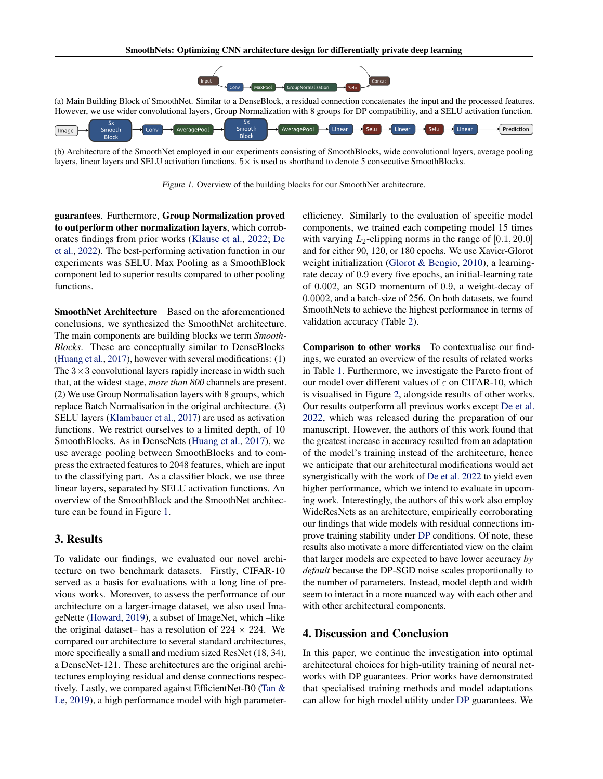<span id="page-2-0"></span>

(b) Architecture of the SmoothNet employed in our experiments consisting of SmoothBlocks, wide convolutional layers, average pooling layers, linear layers and SELU activation functions. 5× is used as shorthand to denote 5 consecutive SmoothBlocks.

Figure 1. Overview of the building blocks for our SmoothNet architecture.

guarantees. Furthermore, Group Normalization proved to outperform other normalization layers, which corroborates findings from prior works [\(Klause et al.,](#page-4-9) [2022;](#page-4-9) [De](#page-4-10) [et al.,](#page-4-10) [2022\)](#page-4-10). The best-performing activation function in our experiments was SELU. Max Pooling as a SmoothBlock component led to superior results compared to other pooling functions.

SmoothNet Architecture Based on the aforementioned conclusions, we synthesized the SmoothNet architecture. The main components are building blocks we term *Smooth-Blocks*. These are conceptually similar to DenseBlocks [\(Huang et al.,](#page-4-6) [2017\)](#page-4-6), however with several modifications: (1) The  $3 \times 3$  convolutional layers rapidly increase in width such that, at the widest stage, *more than 800* channels are present. (2) We use Group Normalisation layers with 8 groups, which replace Batch Normalisation in the original architecture. (3) SELU layers [\(Klambauer et al.,](#page-4-21) [2017\)](#page-4-21) are used as activation functions. We restrict ourselves to a limited depth, of 10 SmoothBlocks. As in DenseNets [\(Huang et al.,](#page-4-6) [2017\)](#page-4-6), we use average pooling between SmoothBlocks and to compress the extracted features to 2048 features, which are input to the classifying part. As a classifier block, we use three linear layers, separated by SELU activation functions. An overview of the SmoothBlock and the SmoothNet architecture can be found in Figure [1.](#page-2-0)

#### 3. Results

To validate our findings, we evaluated our novel architecture on two benchmark datasets. Firstly, CIFAR-10 served as a basis for evaluations with a long line of previous works. Moreover, to assess the performance of our architecture on a larger-image dataset, we also used ImageNette [\(Howard,](#page-4-22) [2019\)](#page-4-22), a subset of ImageNet, which –like the original dataset– has a resolution of  $224 \times 224$ . We compared our architecture to several standard architectures, more specifically a small and medium sized ResNet (18, 34), a DenseNet-121. These architectures are the original architectures employing residual and dense connections respectively. Lastly, we compared against EfficientNet-B0 [\(Tan &](#page-4-7) [Le,](#page-4-7) [2019\)](#page-4-7), a high performance model with high parameterefficiency. Similarly to the evaluation of specific model components, we trained each competing model 15 times with varying  $L_2$ -clipping norms in the range of [0.1, 20.0] and for either 90, 120, or 180 epochs. We use Xavier-Glorot weight initialization [\(Glorot & Bengio,](#page-4-23) [2010\)](#page-4-23), a learningrate decay of 0.9 every five epochs, an initial-learning rate of 0.002, an SGD momentum of 0.9, a weight-decay of 0.0002, and a batch-size of 256. On both datasets, we found SmoothNets to achieve the highest performance in terms of validation accuracy (Table [2\)](#page-3-0).

Comparison to other works To contextualise our findings, we curated an overview of the results of related works in Table [1.](#page-1-0) Furthermore, we investigate the Pareto front of our model over different values of  $\varepsilon$  on CIFAR-10, which is visualised in Figure [2,](#page-3-1) alongside results of other works. Our results outperform all previous works except [De et al.](#page-4-10) [2022,](#page-4-10) which was released during the preparation of our manuscript. However, the authors of this work found that the greatest increase in accuracy resulted from an adaptation of the model's training instead of the architecture, hence we anticipate that our architectural modifications would act synergistically with the work of [De et al.](#page-4-10) [2022](#page-4-10) to yield even higher performance, which we intend to evaluate in upcoming work. Interestingly, the authors of this work also employ WideResNets as an architecture, empirically corroborating our findings that wide models with residual connections improve training stability under [DP](#page-0-1) conditions. Of note, these results also motivate a more differentiated view on the claim that larger models are expected to have lower accuracy *by default* because the DP-SGD noise scales proportionally to the number of parameters. Instead, model depth and width seem to interact in a more nuanced way with each other and with other architectural components.

#### 4. Discussion and Conclusion

In this paper, we continue the investigation into optimal architectural choices for high-utility training of neural networks with DP guarantees. Prior works have demonstrated that specialised training methods and model adaptations can allow for high model utility under [DP](#page-0-1) guarantees. We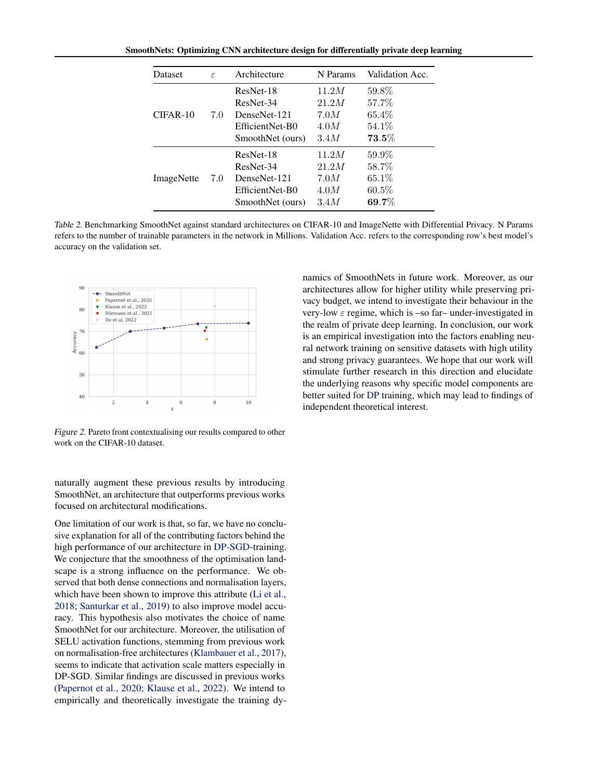<span id="page-3-0"></span>SmoothNets: Optimizing CNN architecture design for differentially private deep learning

| Dataset    | $\epsilon$ | Architecture     | N Params | Validation Acc. |
|------------|------------|------------------|----------|-----------------|
| $CIFAR-10$ | 7.0        | ResNet-18        | 11.2M    | 59.8%           |
|            |            | ResNet-34        | 21.2M    | 57.7%           |
|            |            | DenseNet-121     | 7.0M     | $65.4\%$        |
|            |            | EfficientNet-B0  | 4.0M     | 54.1\%          |
|            |            | SmoothNet (ours) | 3.4M     | $73.5\%$        |
| ImageNette | 7.0        | ResNet-18        | 11.2M    | $59.9\%$        |
|            |            | ResNet-34        | 21.2M    | 58.7%           |
|            |            | DenseNet-121     | 7.0M     | 65.1%           |
|            |            | EfficientNet-B0  | 4.0M     | $60.5\%$        |
|            |            | SmoothNet (ours) | 3.4M     | $69.7\%$        |

Table 2. Benchmarking SmoothNet against standard architectures on CIFAR-10 and ImageNette with Differential Privacy. N Params refers to the number of trainable parameters in the network in Millions. Validation Acc. refers to the corresponding row's best model's accuracy on the validation set.

<span id="page-3-1"></span>

Figure 2. Pareto front contextualising our results compared to other work on the CIFAR-10 dataset.

naturally augment these previous results by introducing SmoothNet, an architecture that outperforms previous works focused on architectural modifications.

One limitation of our work is that, so far, we have no conclusive explanation for all of the contributing factors behind the high performance of our architecture in [DP-SGD-](#page-0-1)training. We conjecture that the smoothness of the optimisation landscape is a strong influence on the performance. We observed that both dense connections and normalisation layers, which have been shown to improve this attribute [\(Li et al.,](#page-4-24) [2018;](#page-4-24) [Santurkar et al.,](#page-4-25) [2019\)](#page-4-25) to also improve model accuracy. This hypothesis also motivates the choice of name SmoothNet for our architecture. Moreover, the utilisation of SELU activation functions, stemming from previous work on normalisation-free architectures [\(Klambauer et al.,](#page-4-21) [2017\)](#page-4-21), seems to indicate that activation scale matters especially in DP-SGD. Similar findings are discussed in previous works [\(Papernot et al.,](#page-4-8) [2020;](#page-4-8) [Klause et al.,](#page-4-9) [2022\)](#page-4-9). We intend to empirically and theoretically investigate the training dynamics of SmoothNets in future work. Moreover, as our architectures allow for higher utility while preserving privacy budget, we intend to investigate their behaviour in the very-low  $\varepsilon$  regime, which is –so far– under-investigated in the realm of private deep learning. In conclusion, our work is an empirical investigation into the factors enabling neural network training on sensitive datasets with high utility and strong privacy guarantees. We hope that our work will stimulate further research in this direction and elucidate the underlying reasons why specific model components are better suited for [DP](#page-0-1) training, which may lead to findings of independent theoretical interest.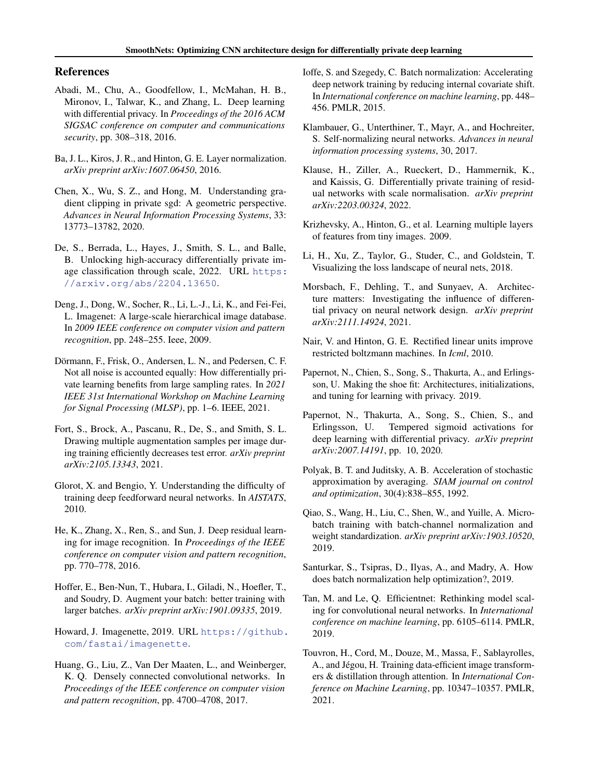# References

- <span id="page-4-0"></span>Abadi, M., Chu, A., Goodfellow, I., McMahan, H. B., Mironov, I., Talwar, K., and Zhang, L. Deep learning with differential privacy. In *Proceedings of the 2016 ACM SIGSAC conference on computer and communications security*, pp. 308–318, 2016.
- <span id="page-4-19"></span>Ba, J. L., Kiros, J. R., and Hinton, G. E. Layer normalization. *arXiv preprint arXiv:1607.06450*, 2016.
- <span id="page-4-3"></span>Chen, X., Wu, S. Z., and Hong, M. Understanding gradient clipping in private sgd: A geometric perspective. *Advances in Neural Information Processing Systems*, 33: 13773–13782, 2020.
- <span id="page-4-10"></span>De, S., Berrada, L., Hayes, J., Smith, S. L., and Balle, B. Unlocking high-accuracy differentially private image classification through scale, 2022. URL [https:](https://arxiv.org/abs/2204.13650) [//arxiv.org/abs/2204.13650](https://arxiv.org/abs/2204.13650).
- <span id="page-4-18"></span>Deng, J., Dong, W., Socher, R., Li, L.-J., Li, K., and Fei-Fei, L. Imagenet: A large-scale hierarchical image database. In *2009 IEEE conference on computer vision and pattern recognition*, pp. 248–255. Ieee, 2009.
- <span id="page-4-4"></span>Dörmann, F., Frisk, O., Andersen, L. N., and Pedersen, C. F. Not all noise is accounted equally: How differentially private learning benefits from large sampling rates. In *2021 IEEE 31st International Workshop on Machine Learning for Signal Processing (MLSP)*, pp. 1–6. IEEE, 2021.
- <span id="page-4-14"></span>Fort, S., Brock, A., Pascanu, R., De, S., and Smith, S. L. Drawing multiple augmentation samples per image during training efficiently decreases test error. *arXiv preprint arXiv:2105.13343*, 2021.
- <span id="page-4-23"></span>Glorot, X. and Bengio, Y. Understanding the difficulty of training deep feedforward neural networks. In *AISTATS*, 2010.
- <span id="page-4-5"></span>He, K., Zhang, X., Ren, S., and Sun, J. Deep residual learning for image recognition. In *Proceedings of the IEEE conference on computer vision and pattern recognition*, pp. 770–778, 2016.
- <span id="page-4-15"></span>Hoffer, E., Ben-Nun, T., Hubara, I., Giladi, N., Hoefler, T., and Soudry, D. Augment your batch: better training with larger batches. *arXiv preprint arXiv:1901.09335*, 2019.
- <span id="page-4-22"></span>Howard, J. Imagenette, 2019. URL [https://github.](https://github.com/fastai/imagenette) [com/fastai/imagenette](https://github.com/fastai/imagenette).
- <span id="page-4-6"></span>Huang, G., Liu, Z., Van Der Maaten, L., and Weinberger, K. Q. Densely connected convolutional networks. In *Proceedings of the IEEE conference on computer vision and pattern recognition*, pp. 4700–4708, 2017.
- <span id="page-4-11"></span>Ioffe, S. and Szegedy, C. Batch normalization: Accelerating deep network training by reducing internal covariate shift. In *International conference on machine learning*, pp. 448– 456. PMLR, 2015.
- <span id="page-4-21"></span>Klambauer, G., Unterthiner, T., Mayr, A., and Hochreiter, S. Self-normalizing neural networks. *Advances in neural information processing systems*, 30, 2017.
- <span id="page-4-9"></span>Klause, H., Ziller, A., Rueckert, D., Hammernik, K., and Kaissis, G. Differentially private training of residual networks with scale normalisation. *arXiv preprint arXiv:2203.00324*, 2022.
- <span id="page-4-17"></span>Krizhevsky, A., Hinton, G., et al. Learning multiple layers of features from tiny images. 2009.
- <span id="page-4-24"></span>Li, H., Xu, Z., Taylor, G., Studer, C., and Goldstein, T. Visualizing the loss landscape of neural nets, 2018.
- <span id="page-4-2"></span>Morsbach, F., Dehling, T., and Sunyaev, A. Architecture matters: Investigating the influence of differential privacy on neural network design. *arXiv preprint arXiv:2111.14924*, 2021.
- <span id="page-4-20"></span>Nair, V. and Hinton, G. E. Rectified linear units improve restricted boltzmann machines. In *Icml*, 2010.
- <span id="page-4-1"></span>Papernot, N., Chien, S., Song, S., Thakurta, A., and Erlingsson, U. Making the shoe fit: Architectures, initializations, and tuning for learning with privacy. 2019.
- <span id="page-4-8"></span>Papernot, N., Thakurta, A., Song, S., Chien, S., and Erlingsson, U. Tempered sigmoid activations for deep learning with differential privacy. *arXiv preprint arXiv:2007.14191*, pp. 10, 2020.
- <span id="page-4-13"></span>Polyak, B. T. and Juditsky, A. B. Acceleration of stochastic approximation by averaging. *SIAM journal on control and optimization*, 30(4):838–855, 1992.
- <span id="page-4-12"></span>Qiao, S., Wang, H., Liu, C., Shen, W., and Yuille, A. Microbatch training with batch-channel normalization and weight standardization. *arXiv preprint arXiv:1903.10520*, 2019.
- <span id="page-4-25"></span>Santurkar, S., Tsipras, D., Ilyas, A., and Madry, A. How does batch normalization help optimization?, 2019.
- <span id="page-4-7"></span>Tan, M. and Le, Q. Efficientnet: Rethinking model scaling for convolutional neural networks. In *International conference on machine learning*, pp. 6105–6114. PMLR, 2019.
- <span id="page-4-16"></span>Touvron, H., Cord, M., Douze, M., Massa, F., Sablayrolles, A., and Jégou, H. Training data-efficient image transformers & distillation through attention. In *International Conference on Machine Learning*, pp. 10347–10357. PMLR, 2021.